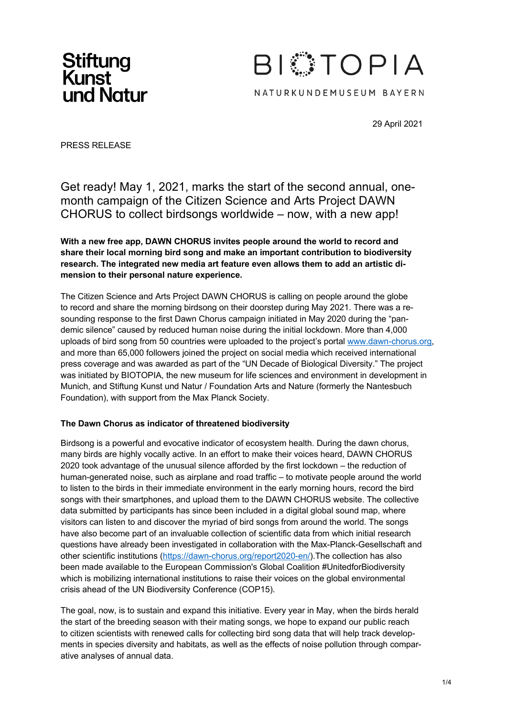



29 April 2021

PRESS RELEASE

Get ready! May 1, 2021, marks the start of the second annual, onemonth campaign of the Citizen Science and Arts Project DAWN CHORUS to collect birdsongs worldwide – now, with a new app!

**With a new free app, DAWN CHORUS invites people around the world to record and share their local morning bird song and make an important contribution to biodiversity research. The integrated new media art feature even allows them to add an artistic dimension to their personal nature experience.**

The Citizen Science and Arts Project DAWN CHORUS is calling on people around the globe to record and share the morning birdsong on their doorstep during May 2021. There was a resounding response to the first Dawn Chorus campaign initiated in May 2020 during the "pandemic silence" caused by reduced human noise during the initial lockdown. More than 4,000 uploads of bird song from 50 countries were uploaded to the project's portal www.dawn-chorus.org, and more than 65,000 followers joined the project on social media which received international press coverage and was awarded as part of the "UN Decade of Biological Diversity." The project was initiated by BIOTOPIA, the new museum for life sciences and environment in development in Munich, and Stiftung Kunst und Natur / Foundation Arts and Nature (formerly the Nantesbuch Foundation), with support from the Max Planck Society.

## **The Dawn Chorus as indicator of threatened biodiversity**

Birdsong is a powerful and evocative indicator of ecosystem health. During the dawn chorus, many birds are highly vocally active. In an effort to make their voices heard, DAWN CHORUS 2020 took advantage of the unusual silence afforded by the first lockdown – the reduction of human-generated noise, such as airplane and road traffic – to motivate people around the world to listen to the birds in their immediate environment in the early morning hours, record the bird songs with their smartphones, and upload them to the DAWN CHORUS website. The collective data submitted by participants has since been included in a digital global sound map, where visitors can listen to and discover the myriad of bird songs from around the world. The songs have also become part of an invaluable collection of scientific data from which initial research questions have already been investigated in collaboration with the Max-Planck-Gesellschaft and other scientific institutions (https://dawn-chorus.org/report2020-en/).The collection has also been made available to the European Commission's Global Coalition #UnitedforBiodiversity which is mobilizing international institutions to raise their voices on the global environmental crisis ahead of the UN Biodiversity Conference (COP15).

The goal, now, is to sustain and expand this initiative. Every year in May, when the birds herald the start of the breeding season with their mating songs, we hope to expand our public reach to citizen scientists with renewed calls for collecting bird song data that will help track developments in species diversity and habitats, as well as the effects of noise pollution through comparative analyses of annual data.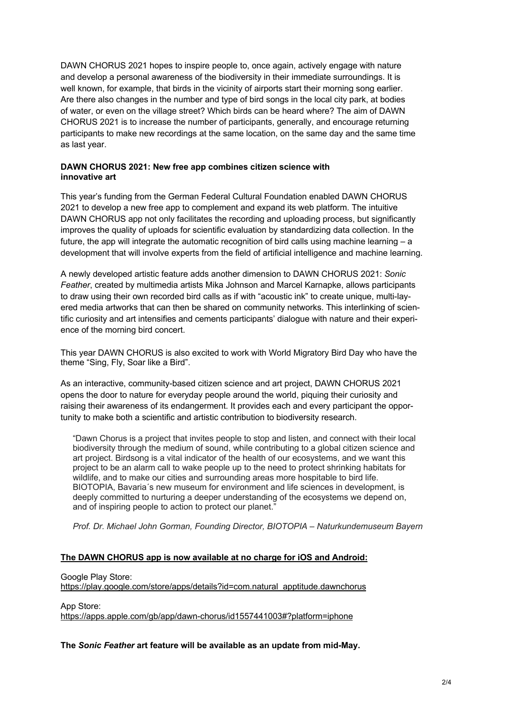DAWN CHORUS 2021 hopes to inspire people to, once again, actively engage with nature and develop a personal awareness of the biodiversity in their immediate surroundings. It is well known, for example, that birds in the vicinity of airports start their morning song earlier. Are there also changes in the number and type of bird songs in the local city park, at bodies of water, or even on the village street? Which birds can be heard where? The aim of DAWN CHORUS 2021 is to increase the number of participants, generally, and encourage returning participants to make new recordings at the same location, on the same day and the same time as last year.

## **DAWN CHORUS 2021: New free app combines citizen science with innovative art**

This year's funding from the German Federal Cultural Foundation enabled DAWN CHORUS 2021 to develop a new free app to complement and expand its web platform. The intuitive DAWN CHORUS app not only facilitates the recording and uploading process, but significantly improves the quality of uploads for scientific evaluation by standardizing data collection. In the future, the app will integrate the automatic recognition of bird calls using machine learning – a development that will involve experts from the field of artificial intelligence and machine learning.

A newly developed artistic feature adds another dimension to DAWN CHORUS 2021: *Sonic Feather*, created by multimedia artists Mika Johnson and Marcel Karnapke, allows participants to draw using their own recorded bird calls as if with "acoustic ink" to create unique, multi-layered media artworks that can then be shared on community networks. This interlinking of scientific curiosity and art intensifies and cements participants' dialogue with nature and their experience of the morning bird concert.

This year DAWN CHORUS is also excited to work with World Migratory Bird Day who have the theme "Sing, Fly, Soar like a Bird".

As an interactive, community-based citizen science and art project, DAWN CHORUS 2021 opens the door to nature for everyday people around the world, piquing their curiosity and raising their awareness of its endangerment. It provides each and every participant the opportunity to make both a scientific and artistic contribution to biodiversity research.

"Dawn Chorus is a project that invites people to stop and listen, and connect with their local biodiversity through the medium of sound, while contributing to a global citizen science and art project. Birdsong is a vital indicator of the health of our ecosystems, and we want this project to be an alarm call to wake people up to the need to protect shrinking habitats for wildlife, and to make our cities and surrounding areas more hospitable to bird life. BIOTOPIA, Bavaria´s new museum for environment and life sciences in development, is deeply committed to nurturing a deeper understanding of the ecosystems we depend on, and of inspiring people to action to protect our planet."

*Prof. Dr. Michael John Gorman, Founding Director, BIOTOPIA – Naturkundemuseum Bayern*

## **The DAWN CHORUS app is now available at no charge for iOS and Android:**

Google Play Store:

https://play.google.com/store/apps/details?id=com.natural\_apptitude.dawnchorus

App Store:

https://apps.apple.com/gb/app/dawn-chorus/id1557441003#?platform=iphone

**The** *Sonic Feather* **art feature will be available as an update from mid-May.**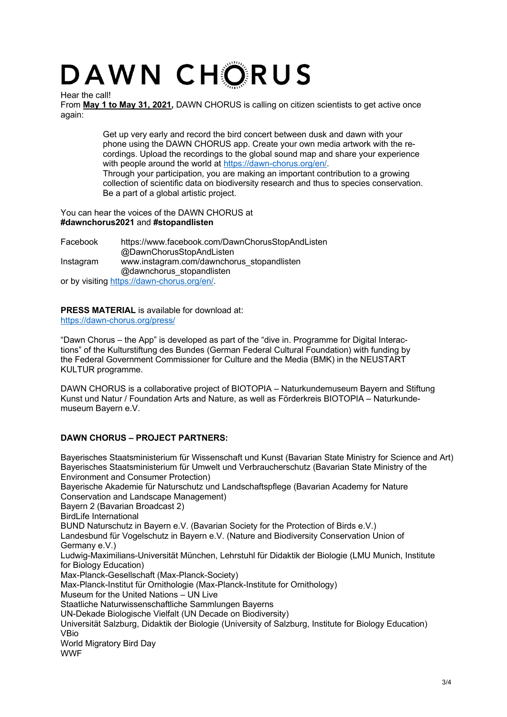# DAWN CHORUS

Hear the call!

From **May 1 to May 31, 2021,** DAWN CHORUS is calling on citizen scientists to get active once again:

> Get up very early and record the bird concert between dusk and dawn with your phone using the DAWN CHORUS app. Create your own media artwork with the recordings. Upload the recordings to the global sound map and share your experience with people around the world at https://dawn-chorus.org/en/. Through your participation, you are making an important contribution to a growing collection of scientific data on biodiversity research and thus to species conservation. Be a part of a global artistic project.

You can hear the voices of the DAWN CHORUS at **#dawnchorus2021** and **#stopandlisten** 

Facebook https://www.facebook.com/DawnChorusStopAndListen @DawnChorusStopAndListen Instagram www.instagram.com/dawnchorus\_stopandlisten @dawnchorus\_stopandlisten or by visiting https://dawn-chorus.org/en/.

**PRESS MATERIAL** is available for download at: https://dawn-chorus.org/press/

"Dawn Chorus – the App" is developed as part of the "dive in. Programme for Digital Interactions" of the Kulturstiftung des Bundes (German Federal Cultural Foundation) with funding by the Federal Government Commissioner for Culture and the Media (BMK) in the NEUSTART KULTUR programme.

DAWN CHORUS is a collaborative project of BIOTOPIA – Naturkundemuseum Bayern and Stiftung Kunst und Natur / Foundation Arts and Nature, as well as Förderkreis BIOTOPIA – Naturkundemuseum Bayern e.V.

# **DAWN CHORUS – PROJECT PARTNERS:**

Bayerisches Staatsministerium für Wissenschaft und Kunst (Bavarian State Ministry for Science and Art) Bayerisches Staatsministerium für Umwelt und Verbraucherschutz (Bavarian State Ministry of the Environment and Consumer Protection) Bayerische Akademie für Naturschutz und Landschaftspflege (Bavarian Academy for Nature Conservation and Landscape Management) Bayern 2 (Bavarian Broadcast 2) BirdLife International BUND Naturschutz in Bayern e.V. (Bavarian Society for the Protection of Birds e.V.) Landesbund für Vogelschutz in Bayern e.V. (Nature and Biodiversity Conservation Union of Germany e.V.) Ludwig-Maximilians-Universität München, Lehrstuhl für Didaktik der Biologie (LMU Munich, Institute for Biology Education) Max-Planck-Gesellschaft (Max-Planck-Society) Max-Planck-Institut für Ornithologie (Max-Planck-Institute for Ornithology) Museum for the United Nations – UN Live Staatliche Naturwissenschaftliche Sammlungen Bayerns UN-Dekade Biologische Vielfalt (UN Decade on Biodiversity) Universität Salzburg, Didaktik der Biologie (University of Salzburg, Institute for Biology Education) VBio World Migratory Bird Day WWF